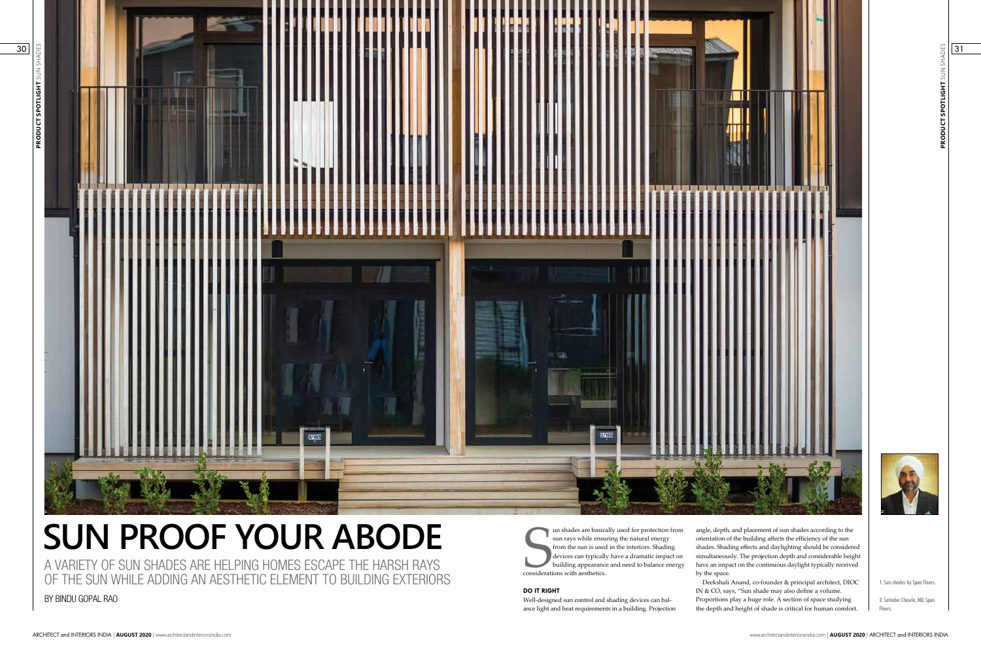**PRODUCT SPOTLIGHT** SUN SHADES PRODUCT SPOTLIGHT SUN SH



# **SUN PROOF YOUR ABODE**

A VARIETY OF SUN SHADES ARE HELPING HOMES ESCAPE THE HARSH RAYS OF THE SUN WHILE ADDING AN AESTHETIC ELEMENT TO BUILDING EXTERIORS Un shades are basic.<br>
sun rays while ensu<br>
from the sun is used<br>
devices can typicall<br>
building appearance<br>
considerations with aesthetics. un shades are basically used for protection from sun rays while ensuring the natural energy from the sun is used in the interiors. Shading devices can typically have a dramatic impact on building appearance and need to balance energy

BY BINDU GOPAL RAO

1. Sun shades by Span Floors.

2. Satinder Chawla, MD, Span Floors.

**DO IT RIGHT**

Well-designed sun control and shading devices can balance light and heat requirements in a building. Projection

angle, depth, and placement of sun shades according to the orientation of the building affects the efficiency of the sun shades. Shading effects and daylighting should be considered simultaneously. The projection depth and considerable height have an impact on the continuous daylight typically received by the space.

Deekshali Anand, co-founder & principal architect, DIOC IN & CO, says, "Sun shade may also define a volume. Proportions play a huge role. A section of space studying the depth and height of shade is critical for human comfort.

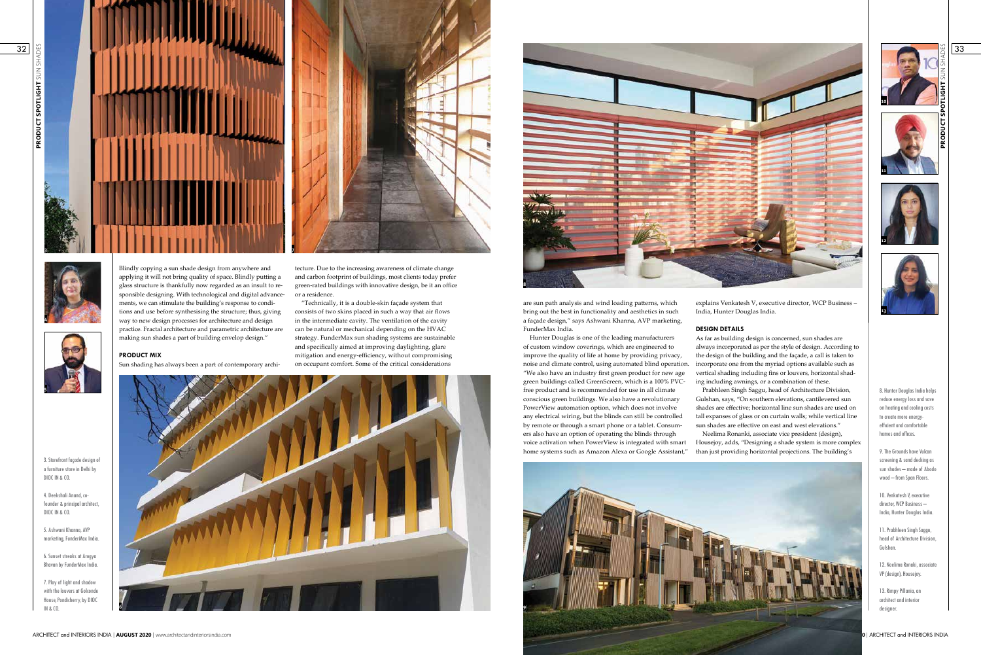are sun path analysis and wind loading patterns, which bring out the best in functionality and aesthetics in such a façade design," says Ashwani Khanna, AVP marketing, FunderMax India.



3. Storefront façade design of a furniture store in Delhi by DIOC IN & CO.

4. Deekshali Anand, cofounder & principal architect, DIOC IN & CO.

5. Ashwani Khanna, AVP marketing, FunderMax India.

6. Sunset streaks at Arogya Bhavan by FunderMax India.

7. Play of light and shadow with the louvers at Golconde House, Pondicherry, by DIOC IN & CO.



Hunter Douglas is one of the leading manufacturers of custom window coverings, which are engineered to improve the quality of life at home by providing privacy, noise and climate control, using automated blind operation. "We also have an industry first green product for new age green buildings called GreenScreen, which is a 100% PVCfree product and is recommended for use in all climate conscious green buildings. We also have a revolutionary PowerView automation option, which does not involve any electrical wiring, but the blinds can still be controlled by remote or through a smart phone or a tablet. Consumers also have an option of operating the blinds through voice activation when PowerView is integrated with smart home systems such as Amazon Alexa or Google Assistant," As far as building design is concerned, sun shades are always incorporated as per the style of design. According to the design of the building and the façade, a call is taken to incorporate one from the myriad options available such as vertical shading including fins or louvers, horizontal shading including awnings, or a combination of these. Prabhleen Singh Saggu, head of Architecture Division, Gulshan, says, "On southern elevations, cantilevered sun shades are effective; horizontal line sun shades are used on tall expanses of glass or on curtain walls; while vertical line sun shades are effective on east and west elevations." Neelima Ronanki, associate vice president (design), Housejoy, adds, "Designing a shade system is more complex than just providing horizontal projections. The building's

Blindly copying a sun shade design from anywhere and applying it will not bring quality of space. Blindly putting a glass structure is thankfully now regarded as an insult to responsible designing. With technological and digital advancements, we can stimulate the building's response to conditions and use before synthesising the structure; thus, giving way to new design processes for architecture and design practice. Fractal architecture and parametric architecture are making sun shades a part of building envelop design."





**PRODUCT MIX**



explains Venkatesh V, executive director, WCP Business – India, Hunter Douglas India.

## **DESIGN DETAILS**



tecture. Due to the increasing awareness of climate change and carbon footprint of buildings, most clients today prefer green-rated buildings with innovative design, be it an office or a residence.

"Technically, it is a double-skin façade system that consists of two skins placed in such a way that air flows in the intermediate cavity. The ventilation of the cavity can be natural or mechanical depending on the HVAC strategy. FunderMax sun shading systems are sustainable and specifically aimed at improving daylighting, glare mitigation and energy-efficiency, without compromising on occupant comfort. Some of the critical considerations

**PRODUCT SPOTLIGHT** SUN SHADES **PRODUCT SPOTLIGHT SUN** 













8. Hunter Douglas India helps reduce energy loss and save on heating and cooling costs to create more energyefficient and comfortable homes and offices.

9. The Grounds have Vulcan screening & sand decking as sun shades – made of Abodo wood – from Span Floors.

10. Venkatesh V, executive director, WCP Business – India, Hunter Douglas India.

11. Prabhleen Singh Saggu, head of Architecture Division, Gulshan.

12. Neelima Ronaki, associate VP (design), Housejoy.

13. Rimpy Pillania, an architect and interior designer.